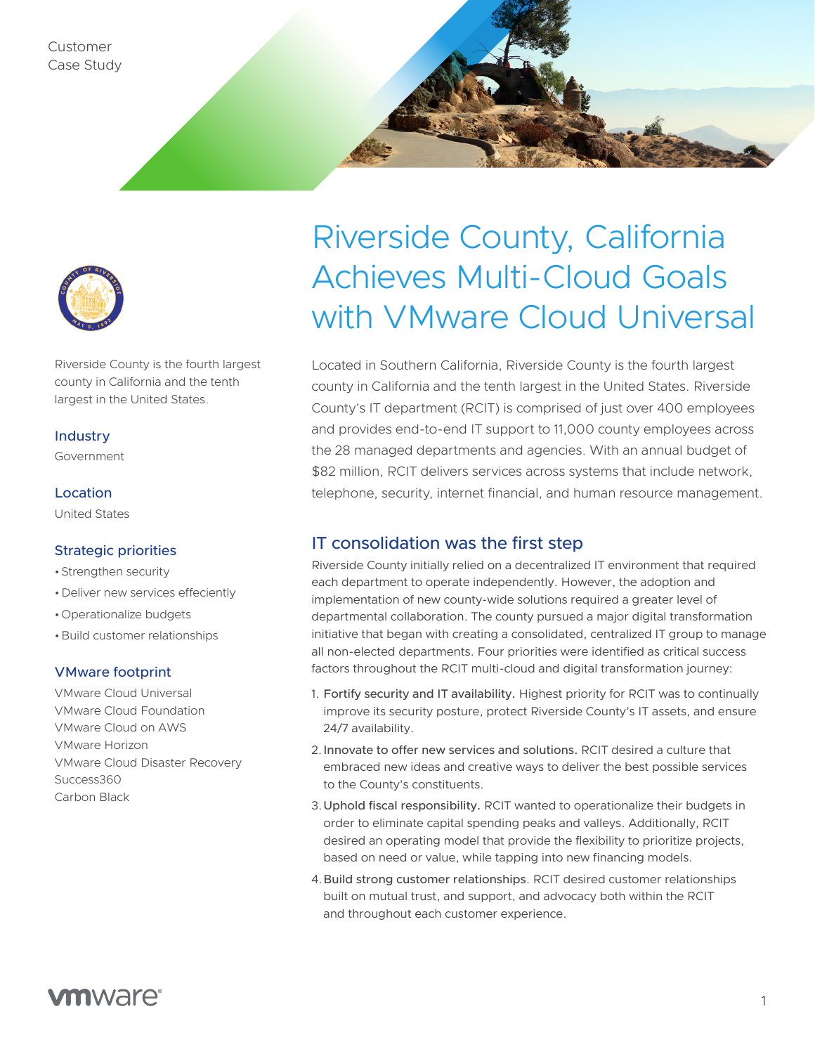



Riverside County is the fourth largest county in California and the tenth largest in the United States.

#### **Industry**

Government

#### Location

United States

#### Strategic priorities

- •Strengthen security
- •Deliver new services effeciently
- •Operationalize budgets
- •Build customer relationships

#### VMware footprint

VMware Cloud Universal VMware Cloud Foundation VMware Cloud on AWS VMware Horizon VMware Cloud Disaster Recovery Success360 Carbon Black

# Riverside County, California Achieves Multi-Cloud Goals with VMware Cloud Universal

Located in Southern California, Riverside County is the fourth largest county in California and the tenth largest in the United States. Riverside County's IT department (RCIT) is comprised of just over 400 employees and provides end-to-end IT support to 11,000 county employees across the 28 managed departments and agencies. With an annual budget of \$82 million, RCIT delivers services across systems that include network, telephone, security, internet financial, and human resource management.

# IT consolidation was the first step

Riverside County initially relied on a decentralized IT environment that required each department to operate independently. However, the adoption and implementation of new county-wide solutions required a greater level of departmental collaboration. The county pursued a major digital transformation initiative that began with creating a consolidated, centralized IT group to manage all non-elected departments. Four priorities were identified as critical success factors throughout the RCIT multi-cloud and digital transformation journey:

- 1. Fortify security and IT availability. Highest priority for RCIT was to continually improve its security posture, protect Riverside County's IT assets, and ensure 24/7 availability.
- 2.Innovate to offer new services and solutions. RCIT desired a culture that embraced new ideas and creative ways to deliver the best possible services to the County's constituents.
- 3.Uphold fiscal responsibility. RCIT wanted to operationalize their budgets in order to eliminate capital spending peaks and valleys. Additionally, RCIT desired an operating model that provide the flexibility to prioritize projects, based on need or value, while tapping into new financing models.
- 4.Build strong customer relationships. RCIT desired customer relationships built on mutual trust, and support, and advocacy both within the RCIT and throughout each customer experience.

# **vm**ware<sup>®</sup>